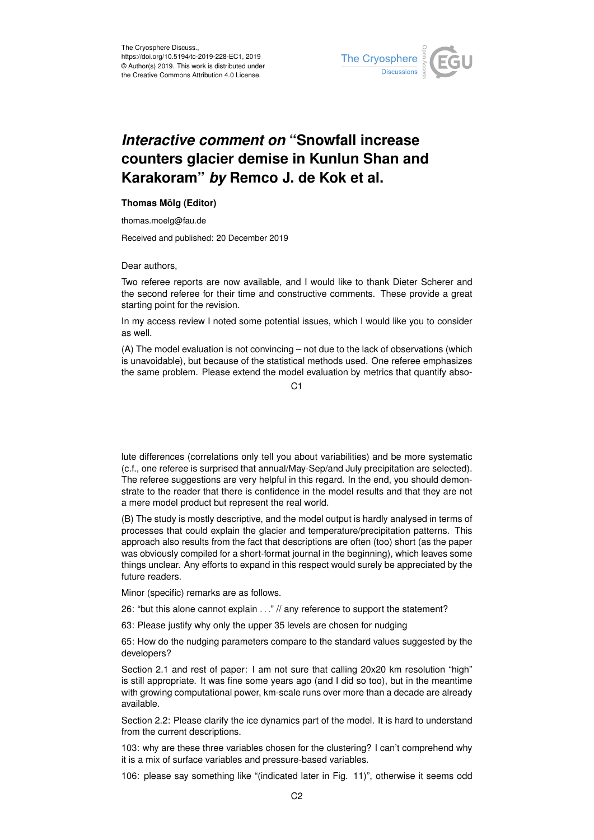

## *Interactive comment on* **"Snowfall increase counters glacier demise in Kunlun Shan and Karakoram"** *by* **Remco J. de Kok et al.**

## **Thomas Mölg (Editor)**

thomas.moelg@fau.de

Received and published: 20 December 2019

Dear authors,

Two referee reports are now available, and I would like to thank Dieter Scherer and the second referee for their time and constructive comments. These provide a great starting point for the revision.

In my access review I noted some potential issues, which I would like you to consider as well.

(A) The model evaluation is not convincing – not due to the lack of observations (which is unavoidable), but because of the statistical methods used. One referee emphasizes the same problem. Please extend the model evaluation by metrics that quantify abso-

C1

lute differences (correlations only tell you about variabilities) and be more systematic (c.f., one referee is surprised that annual/May-Sep/and July precipitation are selected). The referee suggestions are very helpful in this regard. In the end, you should demonstrate to the reader that there is confidence in the model results and that they are not a mere model product but represent the real world.

(B) The study is mostly descriptive, and the model output is hardly analysed in terms of processes that could explain the glacier and temperature/precipitation patterns. This approach also results from the fact that descriptions are often (too) short (as the paper was obviously compiled for a short-format journal in the beginning), which leaves some things unclear. Any efforts to expand in this respect would surely be appreciated by the future readers.

Minor (specific) remarks are as follows.

26: "but this alone cannot explain ..." // any reference to support the statement?

63: Please justify why only the upper 35 levels are chosen for nudging

65: How do the nudging parameters compare to the standard values suggested by the developers?

Section 2.1 and rest of paper: I am not sure that calling 20x20 km resolution "high" is still appropriate. It was fine some years ago (and I did so too), but in the meantime with growing computational power, km-scale runs over more than a decade are already available.

Section 2.2: Please clarify the ice dynamics part of the model. It is hard to understand from the current descriptions.

103: why are these three variables chosen for the clustering? I can't comprehend why it is a mix of surface variables and pressure-based variables.

106: please say something like "(indicated later in Fig. 11)", otherwise it seems odd